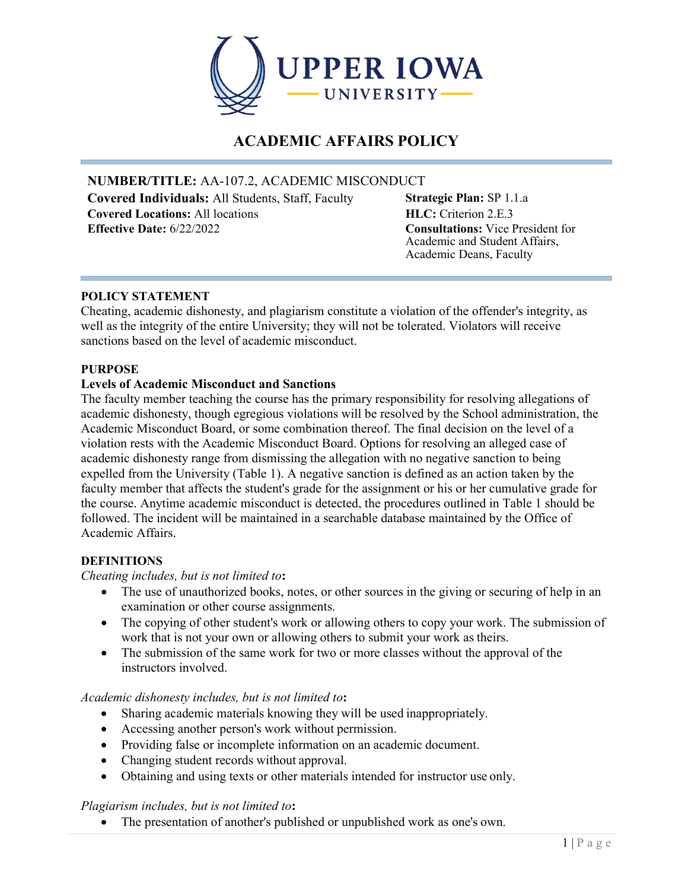

# **ACADEMIC AFFAIRS POLICY**

## **NUMBER/TITLE:** AA-107.2, ACADEMIC MISCONDUCT

**Covered Individuals:** All Students, Staff, Faculty **Covered Locations:** All locations **Effective Date:** 6/22/2022 **Consultations:** Vice President for

**Strategic Plan:** SP 1.1.a **HLC:** Criterion 2.E.3 Academic and Student Affairs, Academic Deans, Faculty

## **POLICY STATEMENT**

Cheating, academic dishonesty, and plagiarism constitute a violation of the offender's integrity, as well as the integrity of the entire University; they will not be tolerated. Violators will receive sanctions based on the level of academic misconduct.

## **PURPOSE**

## **Levels of Academic Misconduct and Sanctions**

The faculty member teaching the course has the primary responsibility for resolving allegations of academic dishonesty, though egregious violations will be resolved by the School administration, the Academic Misconduct Board, or some combination thereof. The final decision on the level of a violation rests with the Academic Misconduct Board. Options for resolving an alleged case of academic dishonesty range from dismissing the allegation with no negative sanction to being expelled from the University (Table 1). A negative sanction is defined as an action taken by the faculty member that affects the student's grade for the assignment or his or her cumulative grade for the course. Anytime academic misconduct is detected, the procedures outlined in Table 1 should be followed. The incident will be maintained in a searchable database maintained by the Office of Academic Affairs.

#### **DEFINITIONS**

## *Cheating includes, but is not limited to***:**

- The use of unauthorized books, notes, or other sources in the giving or securing of help in an examination or other course assignments.
- The copying of other student's work or allowing others to copy your work. The submission of work that is not your own or allowing others to submit your work as theirs.
- The submission of the same work for two or more classes without the approval of the instructors involved.

#### *Academic dishonesty includes, but is not limited to***:**

- Sharing academic materials knowing they will be used inappropriately.
- Accessing another person's work without permission.
- Providing false or incomplete information on an academic document.
- Changing student records without approval.
- Obtaining and using texts or other materials intended for instructor use only.

#### *Plagiarism includes, but is not limited to***:**

• The presentation of another's published or unpublished work as one's own.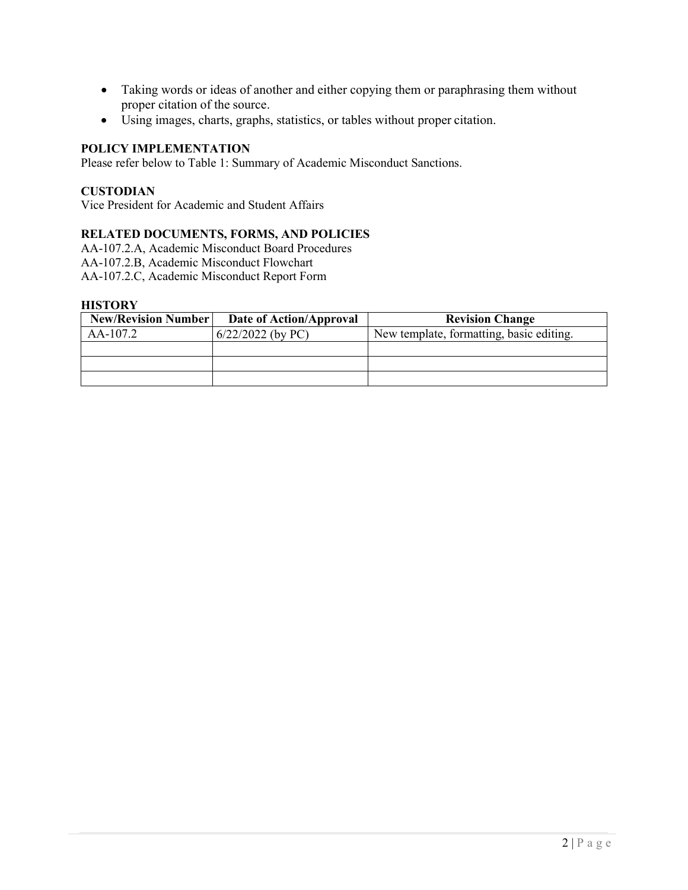- Taking words or ideas of another and either copying them or paraphrasing them without proper citation of the source.
- Using images, charts, graphs, statistics, or tables without proper citation.

## **POLICY IMPLEMENTATION**

Please refer below to Table 1: Summary of Academic Misconduct Sanctions.

#### **CUSTODIAN**

Vice President for Academic and Student Affairs

#### **RELATED DOCUMENTS, FORMS, AND POLICIES**

AA-107.2.A, Academic Misconduct Board Procedures AA-107.2.B, Academic Misconduct Flowchart

AA-107.2.C, Academic Misconduct Report Form

#### **HISTORY**

| <b>New/Revision Number</b> | Date of Action/Approval | <b>Revision Change</b>                   |  |
|----------------------------|-------------------------|------------------------------------------|--|
| AA-107.2                   | $6/22/2022$ (by PC)     | New template, formatting, basic editing. |  |
|                            |                         |                                          |  |
|                            |                         |                                          |  |
|                            |                         |                                          |  |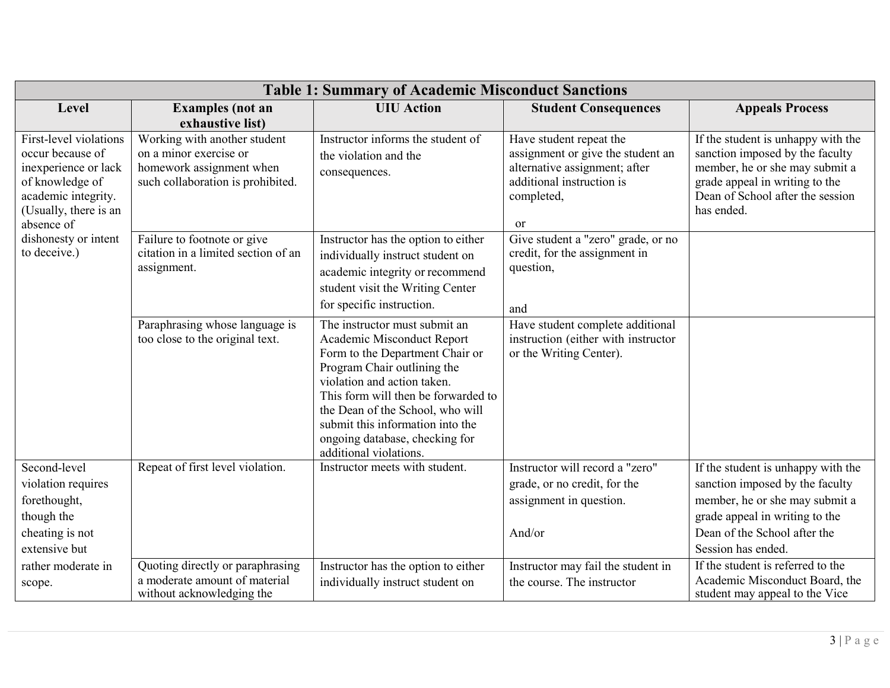| <b>Table 1: Summary of Academic Misconduct Sanctions</b>                                                                                                                                    |                                                                                                                         |                                                                                                                                                                                                                                                                                                                                         |                                                                                                                                                           |                                                                                                                                                                                             |
|---------------------------------------------------------------------------------------------------------------------------------------------------------------------------------------------|-------------------------------------------------------------------------------------------------------------------------|-----------------------------------------------------------------------------------------------------------------------------------------------------------------------------------------------------------------------------------------------------------------------------------------------------------------------------------------|-----------------------------------------------------------------------------------------------------------------------------------------------------------|---------------------------------------------------------------------------------------------------------------------------------------------------------------------------------------------|
| Level                                                                                                                                                                                       | <b>Examples</b> (not an<br>exhaustive list)                                                                             | <b>UIU</b> Action                                                                                                                                                                                                                                                                                                                       | <b>Student Consequences</b>                                                                                                                               | <b>Appeals Process</b>                                                                                                                                                                      |
| First-level violations<br>occur because of<br>inexperience or lack<br>of knowledge of<br>academic integrity.<br>(Usually, there is an<br>absence of<br>dishonesty or intent<br>to deceive.) | Working with another student<br>on a minor exercise or<br>homework assignment when<br>such collaboration is prohibited. | Instructor informs the student of<br>the violation and the<br>consequences.                                                                                                                                                                                                                                                             | Have student repeat the<br>assignment or give the student an<br>alternative assignment; after<br>additional instruction is<br>completed,<br><sub>or</sub> | If the student is unhappy with the<br>sanction imposed by the faculty<br>member, he or she may submit a<br>grade appeal in writing to the<br>Dean of School after the session<br>has ended. |
|                                                                                                                                                                                             | Failure to footnote or give<br>citation in a limited section of an<br>assignment.                                       | Instructor has the option to either<br>individually instruct student on<br>academic integrity or recommend<br>student visit the Writing Center<br>for specific instruction.                                                                                                                                                             | Give student a "zero" grade, or no<br>credit, for the assignment in<br>question,<br>and                                                                   |                                                                                                                                                                                             |
|                                                                                                                                                                                             | Paraphrasing whose language is<br>too close to the original text.                                                       | The instructor must submit an<br>Academic Misconduct Report<br>Form to the Department Chair or<br>Program Chair outlining the<br>violation and action taken.<br>This form will then be forwarded to<br>the Dean of the School, who will<br>submit this information into the<br>ongoing database, checking for<br>additional violations. | Have student complete additional<br>instruction (either with instructor<br>or the Writing Center).                                                        |                                                                                                                                                                                             |
| Second-level<br>violation requires<br>forethought,<br>though the                                                                                                                            | Repeat of first level violation.                                                                                        | Instructor meets with student.                                                                                                                                                                                                                                                                                                          | Instructor will record a "zero"<br>grade, or no credit, for the<br>assignment in question.                                                                | If the student is unhappy with the<br>sanction imposed by the faculty<br>member, he or she may submit a<br>grade appeal in writing to the                                                   |
| cheating is not<br>extensive but                                                                                                                                                            |                                                                                                                         |                                                                                                                                                                                                                                                                                                                                         | And/or                                                                                                                                                    | Dean of the School after the<br>Session has ended.                                                                                                                                          |
| rather moderate in<br>scope.                                                                                                                                                                | Quoting directly or paraphrasing<br>a moderate amount of material<br>without acknowledging the                          | Instructor has the option to either<br>individually instruct student on                                                                                                                                                                                                                                                                 | Instructor may fail the student in<br>the course. The instructor                                                                                          | If the student is referred to the<br>Academic Misconduct Board, the<br>student may appeal to the Vice                                                                                       |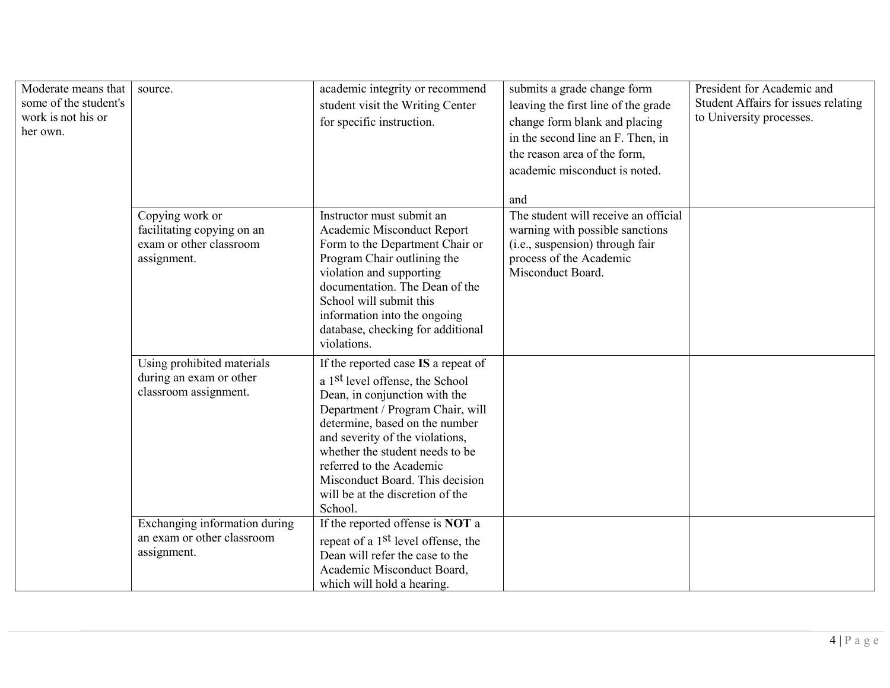| Moderate means that<br>some of the student's<br>work is not his or<br>her own. | source.                                                                                 | academic integrity or recommend<br>student visit the Writing Center<br>for specific instruction.                                                                                                                                                                                                                                                                              | submits a grade change form<br>leaving the first line of the grade<br>change form blank and placing<br>in the second line an F. Then, in<br>the reason area of the form,<br>academic misconduct is noted.<br>and | President for Academic and<br>Student Affairs for issues relating<br>to University processes. |
|--------------------------------------------------------------------------------|-----------------------------------------------------------------------------------------|-------------------------------------------------------------------------------------------------------------------------------------------------------------------------------------------------------------------------------------------------------------------------------------------------------------------------------------------------------------------------------|------------------------------------------------------------------------------------------------------------------------------------------------------------------------------------------------------------------|-----------------------------------------------------------------------------------------------|
|                                                                                | Copying work or<br>facilitating copying on an<br>exam or other classroom<br>assignment. | Instructor must submit an<br>Academic Misconduct Report<br>Form to the Department Chair or<br>Program Chair outlining the<br>violation and supporting<br>documentation. The Dean of the<br>School will submit this<br>information into the ongoing<br>database, checking for additional<br>violations.                                                                        | The student will receive an official<br>warning with possible sanctions<br>(i.e., suspension) through fair<br>process of the Academic<br>Misconduct Board.                                                       |                                                                                               |
|                                                                                | Using prohibited materials<br>during an exam or other<br>classroom assignment.          | If the reported case IS a repeat of<br>a 1 <sup>st</sup> level offense, the School<br>Dean, in conjunction with the<br>Department / Program Chair, will<br>determine, based on the number<br>and severity of the violations,<br>whether the student needs to be<br>referred to the Academic<br>Misconduct Board. This decision<br>will be at the discretion of the<br>School. |                                                                                                                                                                                                                  |                                                                                               |
|                                                                                | Exchanging information during<br>an exam or other classroom<br>assignment.              | If the reported offense is NOT a<br>repeat of a 1 <sup>st</sup> level offense, the<br>Dean will refer the case to the<br>Academic Misconduct Board,<br>which will hold a hearing.                                                                                                                                                                                             |                                                                                                                                                                                                                  |                                                                                               |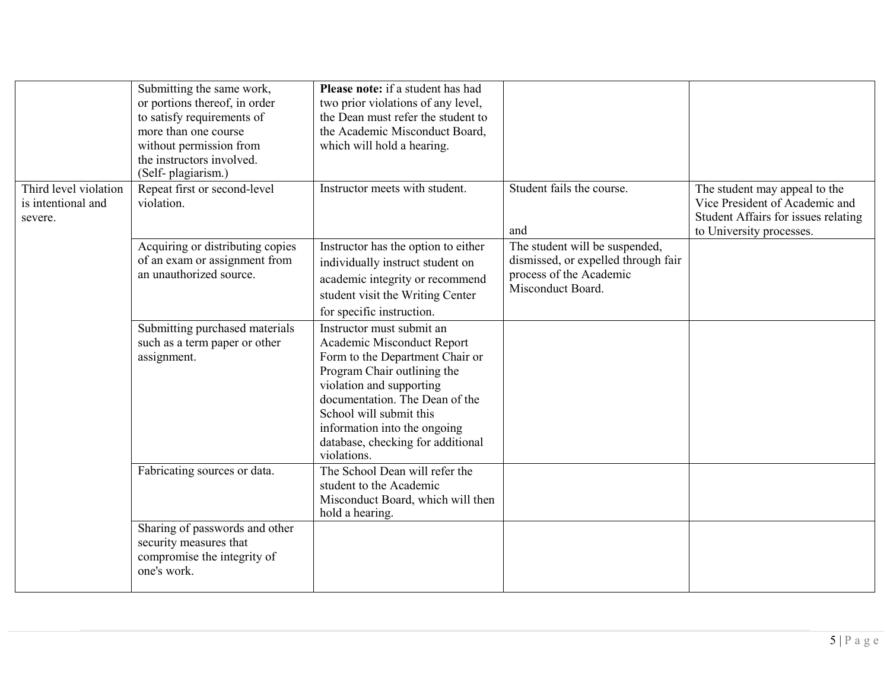|                                                        | Submitting the same work,<br>or portions thereof, in order<br>to satisfy requirements of<br>more than one course<br>without permission from<br>the instructors involved.<br>(Self-plagiarism.) | Please note: if a student has had<br>two prior violations of any level,<br>the Dean must refer the student to<br>the Academic Misconduct Board,<br>which will hold a hearing.                                                                                                                          |                                                                                                                       |                                                                                                                                    |
|--------------------------------------------------------|------------------------------------------------------------------------------------------------------------------------------------------------------------------------------------------------|--------------------------------------------------------------------------------------------------------------------------------------------------------------------------------------------------------------------------------------------------------------------------------------------------------|-----------------------------------------------------------------------------------------------------------------------|------------------------------------------------------------------------------------------------------------------------------------|
| Third level violation<br>is intentional and<br>severe. | Repeat first or second-level<br>violation.                                                                                                                                                     | Instructor meets with student.                                                                                                                                                                                                                                                                         | Student fails the course.<br>and                                                                                      | The student may appeal to the<br>Vice President of Academic and<br>Student Affairs for issues relating<br>to University processes. |
|                                                        | Acquiring or distributing copies<br>of an exam or assignment from<br>an unauthorized source.                                                                                                   | Instructor has the option to either<br>individually instruct student on<br>academic integrity or recommend<br>student visit the Writing Center<br>for specific instruction.                                                                                                                            | The student will be suspended,<br>dismissed, or expelled through fair<br>process of the Academic<br>Misconduct Board. |                                                                                                                                    |
|                                                        | Submitting purchased materials<br>such as a term paper or other<br>assignment.                                                                                                                 | Instructor must submit an<br>Academic Misconduct Report<br>Form to the Department Chair or<br>Program Chair outlining the<br>violation and supporting<br>documentation. The Dean of the<br>School will submit this<br>information into the ongoing<br>database, checking for additional<br>violations. |                                                                                                                       |                                                                                                                                    |
|                                                        | Fabricating sources or data.                                                                                                                                                                   | The School Dean will refer the<br>student to the Academic<br>Misconduct Board, which will then<br>hold a hearing.                                                                                                                                                                                      |                                                                                                                       |                                                                                                                                    |
|                                                        | Sharing of passwords and other<br>security measures that<br>compromise the integrity of<br>one's work.                                                                                         |                                                                                                                                                                                                                                                                                                        |                                                                                                                       |                                                                                                                                    |